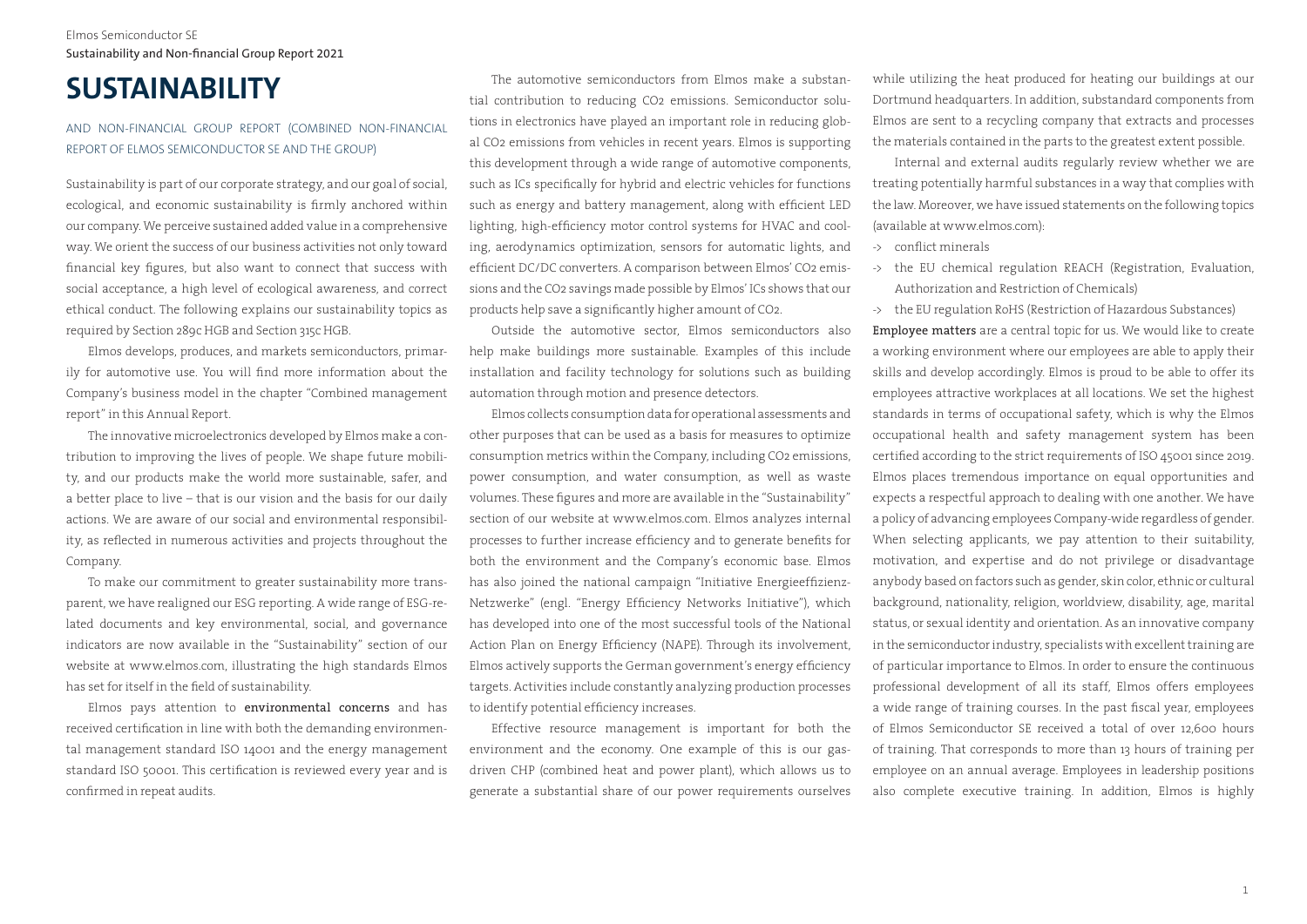## Elmos Semiconductor SE Sustainability and Non-financial Group Report 2021

# **SUSTAINABILITY**

## AND NON-FINANCIAL GROUP REPORT (COMBINED NON-FINANCIAL REPORT OF ELMOS SEMICONDUCTOR SE AND THE GROUP)

Sustainability is part of our corporate strategy, and our goal of social, ecological, and economic sustainability is firmly anchored within our company. We perceive sustained added value in a comprehensive way. We orient the success of our business activities not only toward financial key figures, but also want to connect that success with social acceptance, a high level of ecological awareness, and correct ethical conduct. The following explains our sustainability topics as required by Section 289c HGB and Section 315c HGB.

Elmos develops, produces, and markets semiconductors, primarily for automotive use. You will find more information about the Company's business model in the chapter "Combined management report" in this Annual Report.

The innovative microelectronics developed by Elmos make a contribution to improving the lives of people. We shape future mobility, and our products make the world more sustainable, safer, and a better place to live – that is our vision and the basis for our daily actions. We are aware of our social and environmental responsibility, as reflected in numerous activities and projects throughout the Company.

To make our commitment to greater sustainability more transparent, we have realigned our ESG reporting. A wide range of ESG-related documents and key environmental, social, and governance indicators are now available in the "Sustainability" section of our website at www.elmos.com, illustrating the high standards Elmos has set for itself in the field of sustainability.

Elmos pays attention to environmental concerns and has received certification in line with both the demanding environmental management standard ISO 14001 and the energy management standard ISO 50001. This certification is reviewed every year and is confirmed in repeat audits.

The automotive semiconductors from Elmos make a substantial contribution to reducing CO2 emissions. Semiconductor solutions in electronics have played an important role in reducing global CO2 emissions from vehicles in recent years. Elmos is supporting this development through a wide range of automotive components, such as ICs specifically for hybrid and electric vehicles for functions such as energy and battery management, along with efficient LED lighting, high-efficiency motor control systems for HVAC and cooling, aerodynamics optimization, sensors for automatic lights, and efficient DC/DC converters. A comparison between Elmos' CO2 emissions and the CO2 savings made possible by Elmos' ICs shows that our products help save a significantly higher amount of CO2.

Outside the automotive sector, Elmos semiconductors also help make buildings more sustainable. Examples of this include installation and facility technology for solutions such as building automation through motion and presence detectors.

Elmos collects consumption data for operational assessments and other purposes that can be used as a basis for measures to optimize consumption metrics within the Company, including CO2 emissions, power consumption, and water consumption, as well as waste volumes. These figures and more are available in the "Sustainability" section of our website at www.elmos.com. Elmos analyzes internal processes to further increase efficiency and to generate benefits for both the environment and the Company's economic base. Elmos has also joined the national campaign "Initiative Energieeffizienz-Netzwerke" (engl. "Energy Efficiency Networks Initiative"), which has developed into one of the most successful tools of the National Action Plan on Energy Efficiency (NAPE). Through its involvement, Elmos actively supports the German government's energy efficiency targets. Activities include constantly analyzing production processes to identify potential efficiency increases.

Effective resource management is important for both the environment and the economy. One example of this is our gasdriven CHP (combined heat and power plant), which allows us to generate a substantial share of our power requirements ourselves

while utilizing the heat produced for heating our buildings at our Dortmund headquarters. In addition, substandard components from Elmos are sent to a recycling company that extracts and processes the materials contained in the parts to the greatest extent possible.

Internal and external audits regularly review whether we are treating potentially harmful substances in a way that complies with the law. Moreover, we have issued statements on the following topics (available at www.elmos.com):

- -> conflict minerals
- -> the EU chemical regulation REACH (Registration, Evaluation, Authorization and Restriction of Chemicals)
- -> the EU regulation RoHS (Restriction of Hazardous Substances)

Employee matters are a central topic for us. We would like to create a working environment where our employees are able to apply their skills and develop accordingly. Elmos is proud to be able to offer its employees attractive workplaces at all locations. We set the highest standards in terms of occupational safety, which is why the Elmos occupational health and safety management system has been certified according to the strict requirements of ISO 45001 since 2019. Elmos places tremendous importance on equal opportunities and expects a respectful approach to dealing with one another. We have a policy of advancing employees Company-wide regardless of gender. When selecting applicants, we pay attention to their suitability, motivation, and expertise and do not privilege or disadvantage anybody based on factors such as gender, skin color, ethnic or cultural background, nationality, religion, worldview, disability, age, marital status, or sexual identity and orientation. As an innovative company in the semiconductor industry, specialists with excellent training are of particular importance to Elmos. In order to ensure the continuous professional development of all its staff, Elmos offers employees a wide range of training courses. In the past fiscal year, employees of Elmos Semiconductor SE received a total of over 12,600 hours of training. That corresponds to more than 13 hours of training per employee on an annual average. Employees in leadership positions also complete executive training. In addition, Elmos is highly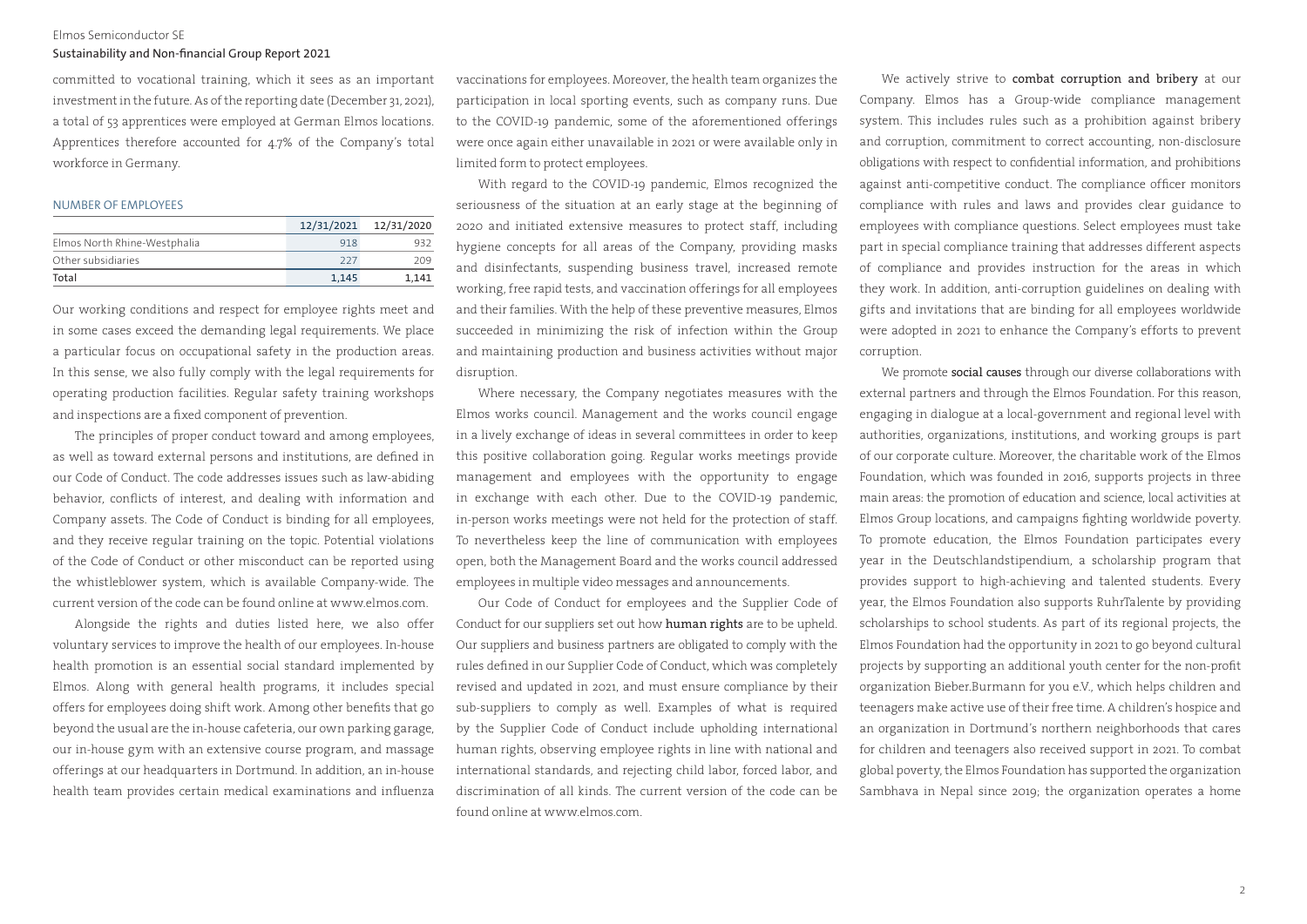#### Sustainability and Non-financial Group Report 2021

committed to vocational training, which it sees as an important investment in the future. As of the reporting date (December 31, 2021), a total of 53 apprentices were employed at German Elmos locations. Apprentices therefore accounted for 4.7% of the Company's total workforce in Germany.

#### NUMBER OF EMPLOYEES

|                              |       | 12/31/2021 12/31/2020 |
|------------------------------|-------|-----------------------|
| Elmos North Rhine-Westphalia | 918   | 932                   |
| Other subsidiaries           | 227   | 209                   |
| Total                        | 1.145 | 1.141                 |

Our working conditions and respect for employee rights meet and in some cases exceed the demanding legal requirements. We place a particular focus on occupational safety in the production areas. In this sense, we also fully comply with the legal requirements for operating production facilities. Regular safety training workshops and inspections are a fixed component of prevention.

The principles of proper conduct toward and among employees, as well as toward external persons and institutions, are defined in our Code of Conduct. The code addresses issues such as law-abiding behavior, conflicts of interest, and dealing with information and Company assets. The Code of Conduct is binding for all employees, and they receive regular training on the topic. Potential violations of the Code of Conduct or other misconduct can be reported using the whistleblower system, which is available Company-wide. The current version of the code can be found online at www.elmos.com.

Alongside the rights and duties listed here, we also offer voluntary services to improve the health of our employees. In-house health promotion is an essential social standard implemented by Elmos. Along with general health programs, it includes special offers for employees doing shift work. Among other benefits that go beyond the usual are the in-house cafeteria, our own parking garage, our in-house gym with an extensive course program, and massage offerings at our headquarters in Dortmund. In addition, an in-house health team provides certain medical examinations and influenza

vaccinations for employees. Moreover, the health team organizes the participation in local sporting events, such as company runs. Due to the COVID-19 pandemic, some of the aforementioned offerings were once again either unavailable in 2021 or were available only in limited form to protect employees.

With regard to the COVID-19 pandemic, Elmos recognized the seriousness of the situation at an early stage at the beginning of 2020 and initiated extensive measures to protect staff, including hygiene concepts for all areas of the Company, providing masks and disinfectants, suspending business travel, increased remote working, free rapid tests, and vaccination offerings for all employees and their families. With the help of these preventive measures, Elmos succeeded in minimizing the risk of infection within the Group and maintaining production and business activities without major disruption.

Where necessary, the Company negotiates measures with the Elmos works council. Management and the works council engage in a lively exchange of ideas in several committees in order to keep this positive collaboration going. Regular works meetings provide management and employees with the opportunity to engage in exchange with each other. Due to the COVID-19 pandemic, in-person works meetings were not held for the protection of staff. To nevertheless keep the line of communication with employees open, both the Management Board and the works council addressed employees in multiple video messages and announcements.

Our Code of Conduct for employees and the Supplier Code of Conduct for our suppliers set out how human rights are to be upheld. Our suppliers and business partners are obligated to comply with the rules defined in our Supplier Code of Conduct, which was completely revised and updated in 2021, and must ensure compliance by their sub-suppliers to comply as well. Examples of what is required by the Supplier Code of Conduct include upholding international human rights, observing employee rights in line with national and international standards, and rejecting child labor, forced labor, and discrimination of all kinds. The current version of the code can be found online at www.elmos.com.

We actively strive to combat corruption and bribery at our Company. Elmos has a Group-wide compliance management system. This includes rules such as a prohibition against bribery and corruption, commitment to correct accounting, non-disclosure obligations with respect to confidential information, and prohibitions against anti-competitive conduct. The compliance officer monitors compliance with rules and laws and provides clear guidance to employees with compliance questions. Select employees must take part in special compliance training that addresses different aspects of compliance and provides instruction for the areas in which they work. In addition, anti-corruption guidelines on dealing with gifts and invitations that are binding for all employees worldwide were adopted in 2021 to enhance the Company's efforts to prevent corruption.

We promote social causes through our diverse collaborations with external partners and through the Elmos Foundation. For this reason, engaging in dialogue at a local-government and regional level with authorities, organizations, institutions, and working groups is part of our corporate culture. Moreover, the charitable work of the Elmos Foundation, which was founded in 2016, supports projects in three main areas: the promotion of education and science, local activities at Elmos Group locations, and campaigns fighting worldwide poverty. To promote education, the Elmos Foundation participates every year in the Deutschlandstipendium, a scholarship program that provides support to high-achieving and talented students. Every year, the Elmos Foundation also supports RuhrTalente by providing scholarships to school students. As part of its regional projects, the Elmos Foundation had the opportunity in 2021 to go beyond cultural projects by supporting an additional youth center for the non-profit organization Bieber.Burmann for you e.V., which helps children and teenagers make active use of their free time. A children's hospice and an organization in Dortmund's northern neighborhoods that cares for children and teenagers also received support in 2021. To combat global poverty, the Elmos Foundation has supported the organization Sambhava in Nepal since 2019; the organization operates a home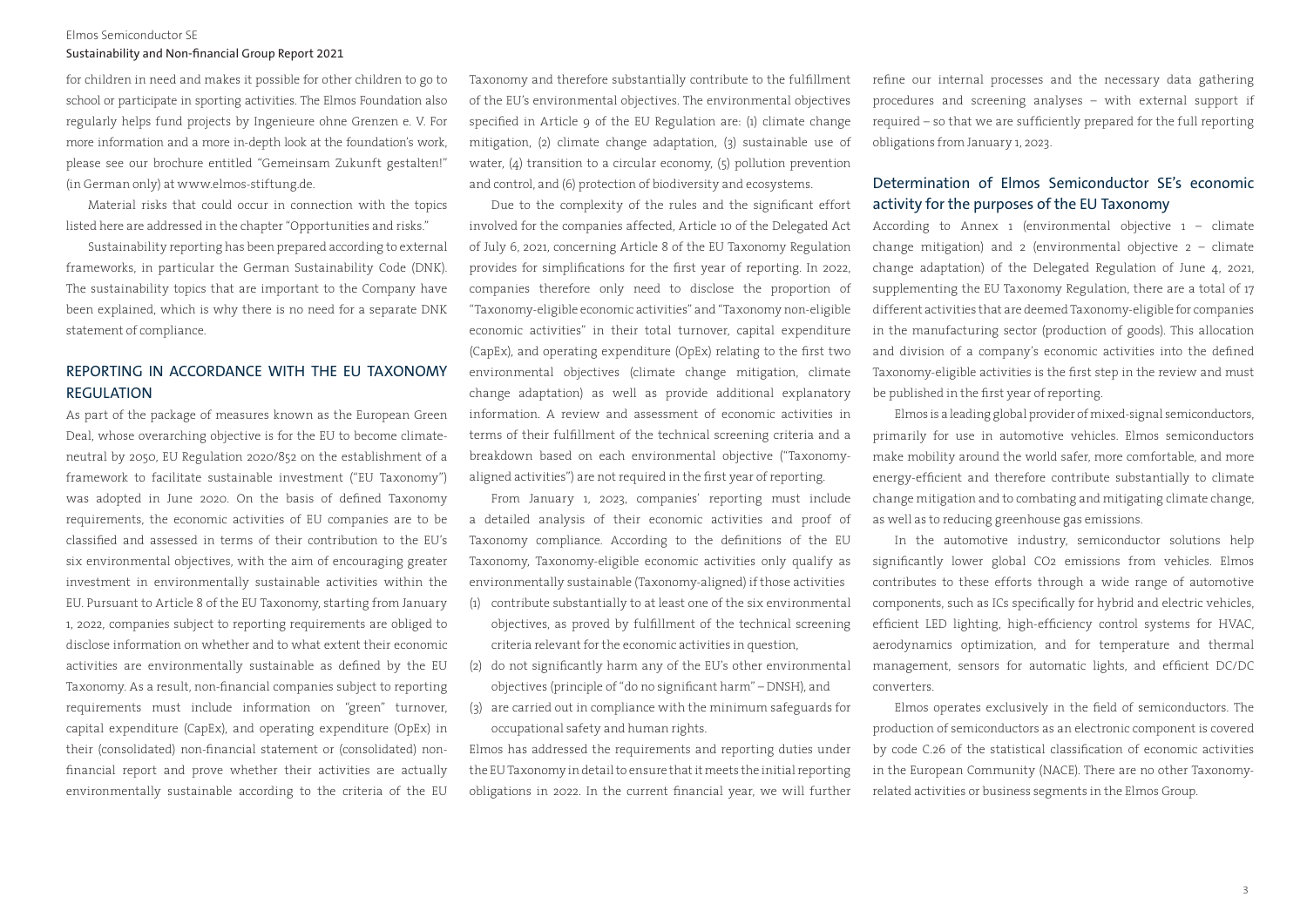#### Sustainability and Non-financial Group Report 2021

for children in need and makes it possible for other children to go to school or participate in sporting activities. The Elmos Foundation also regularly helps fund projects by Ingenieure ohne Grenzen e. V. For more information and a more in-depth look at the foundation's work, please see our brochure entitled "Gemeinsam Zukunft gestalten!" (in German only) at www.elmos-stiftung.de.

Material risks that could occur in connection with the topics listed here are addressed in the chapter "Opportunities and risks."

Sustainability reporting has been prepared according to external frameworks, in particular the German Sustainability Code (DNK). The sustainability topics that are important to the Company have been explained, which is why there is no need for a separate DNK statement of compliance.

## REPORTING IN ACCORDANCE WITH THE EU TAXONOMY REGULATION

As part of the package of measures known as the European Green Deal, whose overarching objective is for the EU to become climateneutral by 2050, EU Regulation 2020/852 on the establishment of a framework to facilitate sustainable investment ("EU Taxonomy") was adopted in June 2020. On the basis of defined Taxonomy requirements, the economic activities of EU companies are to be classified and assessed in terms of their contribution to the EU's six environmental objectives, with the aim of encouraging greater investment in environmentally sustainable activities within the EU. Pursuant to Article 8 of the EU Taxonomy, starting from January 1, 2022, companies subject to reporting requirements are obliged to disclose information on whether and to what extent their economic activities are environmentally sustainable as defined by the EU Taxonomy. As a result, non-financial companies subject to reporting requirements must include information on "green" turnover, capital expenditure (CapEx), and operating expenditure (OpEx) in their (consolidated) non-financial statement or (consolidated) nonfinancial report and prove whether their activities are actually environmentally sustainable according to the criteria of the EU

Taxonomy and therefore substantially contribute to the fulfillment of the EU's environmental objectives. The environmental objectives specified in Article 9 of the EU Regulation are: (1) climate change mitigation, (2) climate change adaptation, (3) sustainable use of water,  $(4)$  transition to a circular economy,  $(5)$  pollution prevention and control, and (6) protection of biodiversity and ecosystems.

Due to the complexity of the rules and the significant effort involved for the companies affected, Article 10 of the Delegated Act of July 6, 2021, concerning Article 8 of the EU Taxonomy Regulation provides for simplifications for the first year of reporting. In 2022, companies therefore only need to disclose the proportion of "Taxonomy-eligible economic activities" and "Taxonomy non-eligible economic activities" in their total turnover, capital expenditure (CapEx), and operating expenditure (OpEx) relating to the first two environmental objectives (climate change mitigation, climate change adaptation) as well as provide additional explanatory information. A review and assessment of economic activities in terms of their fulfillment of the technical screening criteria and a breakdown based on each environmental objective ("Taxonomyaligned activities") are not required in the first year of reporting.

From January 1, 2023, companies' reporting must include a detailed analysis of their economic activities and proof of Taxonomy compliance. According to the definitions of the EU Taxonomy, Taxonomy-eligible economic activities only qualify as environmentally sustainable (Taxonomy-aligned) if those activities

- (1) contribute substantially to at least one of the six environmental objectives, as proved by fulfillment of the technical screening criteria relevant for the economic activities in question,
- (2) do not significantly harm any of the EU's other environmental objectives (principle of "do no significant harm" – DNSH), and
- (3) are carried out in compliance with the minimum safeguards for occupational safety and human rights.

Elmos has addressed the requirements and reporting duties under the EU Taxonomy in detail to ensure that it meets the initial reporting obligations in 2022. In the current financial year, we will further refine our internal processes and the necessary data gathering procedures and screening analyses – with external support if required – so that we are sufficiently prepared for the full reporting obligations from January 1, 2023.

## Determination of Elmos Semiconductor SE's economic activity for the purposes of the EU Taxonomy

According to Annex 1 (environmental objective  $1 -$  climate change mitigation) and  $2$  (environmental objective  $2 -$  climate change adaptation) of the Delegated Regulation of June 4, 2021, supplementing the EU Taxonomy Regulation, there are a total of 17 different activities that are deemed Taxonomy-eligible for companies in the manufacturing sector (production of goods). This allocation and division of a company's economic activities into the defined Taxonomy-eligible activities is the first step in the review and must be published in the first year of reporting.

Elmos is a leading global provider of mixed-signal semiconductors, primarily for use in automotive vehicles. Elmos semiconductors make mobility around the world safer, more comfortable, and more energy-efficient and therefore contribute substantially to climate change mitigation and to combating and mitigating climate change, as well as to reducing greenhouse gas emissions.

In the automotive industry, semiconductor solutions help significantly lower global CO2 emissions from vehicles. Elmos contributes to these efforts through a wide range of automotive components, such as ICs specifically for hybrid and electric vehicles, efficient LED lighting, high-efficiency control systems for HVAC, aerodynamics optimization, and for temperature and thermal management, sensors for automatic lights, and efficient DC/DC converters.

Elmos operates exclusively in the field of semiconductors. The production of semiconductors as an electronic component is covered by code C.26 of the statistical classification of economic activities in the European Community (NACE). There are no other Taxonomyrelated activities or business segments in the Elmos Group.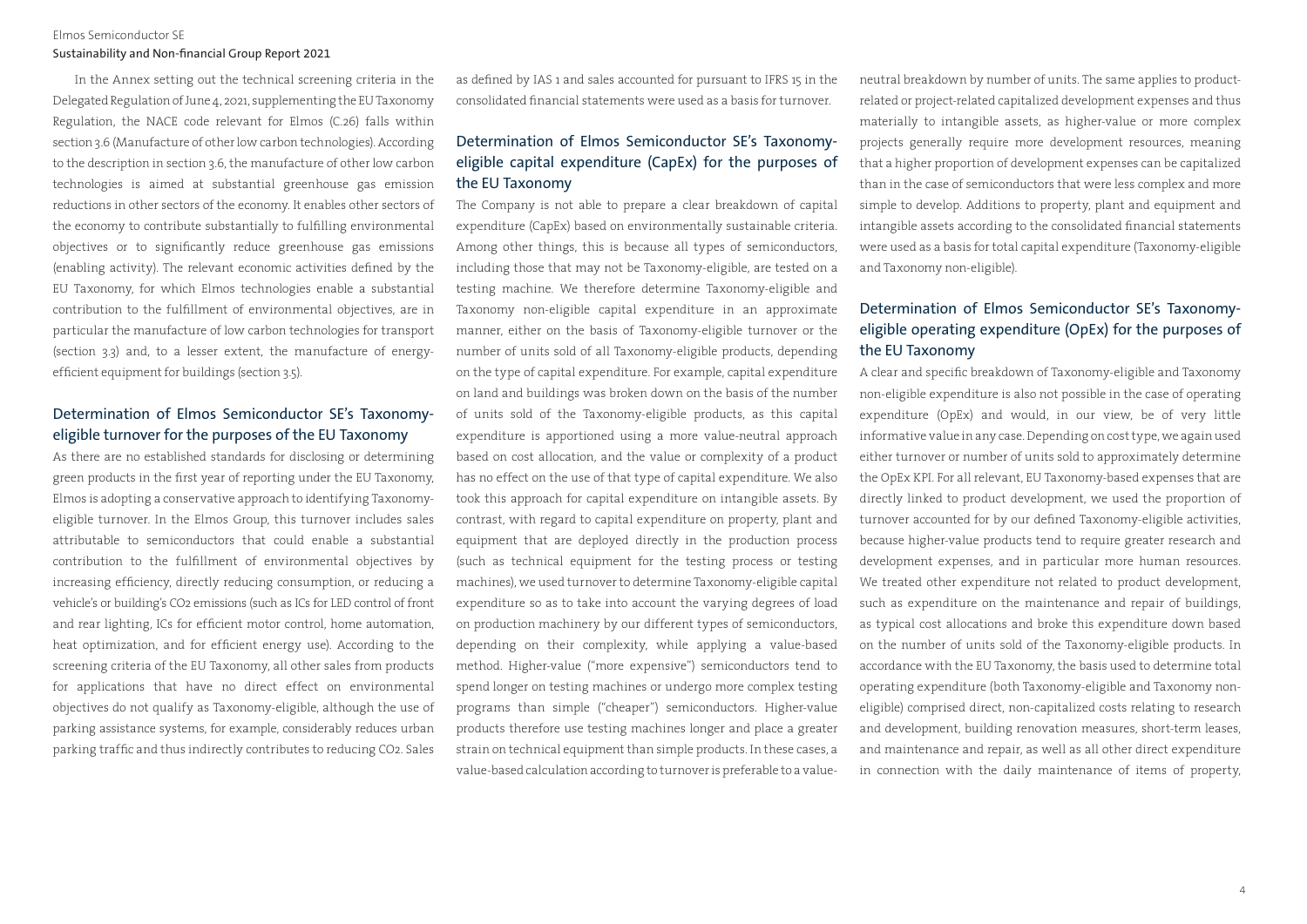#### Sustainability and Non-financial Group Report 2021

In the Annex setting out the technical screening criteria in the Delegated Regulation of June 4, 2021, supplementing the EU Taxonomy Regulation, the NACE code relevant for Elmos (C.26) falls within section 3.6 (Manufacture of other low carbon technologies). According to the description in section 3.6, the manufacture of other low carbon technologies is aimed at substantial greenhouse gas emission reductions in other sectors of the economy. It enables other sectors of the economy to contribute substantially to fulfilling environmental objectives or to significantly reduce greenhouse gas emissions (enabling activity). The relevant economic activities defined by the EU Taxonomy, for which Elmos technologies enable a substantial contribution to the fulfillment of environmental objectives, are in particular the manufacture of low carbon technologies for transport (section 3.3) and, to a lesser extent, the manufacture of energyefficient equipment for buildings (section 3.5).

## Determination of Elmos Semiconductor SE's Taxonomyeligible turnover for the purposes of the EU Taxonomy

As there are no established standards for disclosing or determining green products in the first year of reporting under the EU Taxonomy, Elmos is adopting a conservative approach to identifying Taxonomyeligible turnover. In the Elmos Group, this turnover includes sales attributable to semiconductors that could enable a substantial contribution to the fulfillment of environmental objectives by increasing efficiency, directly reducing consumption, or reducing a vehicle's or building's CO2 emissions (such as ICs for LED control of front and rear lighting, ICs for efficient motor control, home automation, heat optimization, and for efficient energy use). According to the screening criteria of the EU Taxonomy, all other sales from products for applications that have no direct effect on environmental objectives do not qualify as Taxonomy-eligible, although the use of parking assistance systems, for example, considerably reduces urban parking traffic and thus indirectly contributes to reducing CO2. Sales as defined by IAS 1 and sales accounted for pursuant to IFRS 15 in the consolidated financial statements were used as a basis for turnover.

## Determination of Elmos Semiconductor SE's Taxonomyeligible capital expenditure (CapEx) for the purposes of the EU Taxonomy

The Company is not able to prepare a clear breakdown of capital expenditure (CapEx) based on environmentally sustainable criteria. Among other things, this is because all types of semiconductors, including those that may not be Taxonomy-eligible, are tested on a testing machine. We therefore determine Taxonomy-eligible and Taxonomy non-eligible capital expenditure in an approximate manner, either on the basis of Taxonomy-eligible turnover or the number of units sold of all Taxonomy-eligible products, depending on the type of capital expenditure. For example, capital expenditure on land and buildings was broken down on the basis of the number of units sold of the Taxonomy-eligible products, as this capital expenditure is apportioned using a more value-neutral approach based on cost allocation, and the value or complexity of a product has no effect on the use of that type of capital expenditure. We also took this approach for capital expenditure on intangible assets. By contrast, with regard to capital expenditure on property, plant and equipment that are deployed directly in the production process (such as technical equipment for the testing process or testing machines), we used turnover to determine Taxonomy-eligible capital expenditure so as to take into account the varying degrees of load on production machinery by our different types of semiconductors, depending on their complexity, while applying a value-based method. Higher-value ("more expensive") semiconductors tend to spend longer on testing machines or undergo more complex testing programs than simple ("cheaper") semiconductors. Higher-value products therefore use testing machines longer and place a greater strain on technical equipment than simple products. In these cases, a value-based calculation according to turnover is preferable to a valueneutral breakdown by number of units. The same applies to productrelated or project-related capitalized development expenses and thus materially to intangible assets, as higher-value or more complex projects generally require more development resources, meaning that a higher proportion of development expenses can be capitalized than in the case of semiconductors that were less complex and more simple to develop. Additions to property, plant and equipment and intangible assets according to the consolidated financial statements were used as a basis for total capital expenditure (Taxonomy-eligible and Taxonomy non-eligible).

## Determination of Elmos Semiconductor SE's Taxonomyeligible operating expenditure (OpEx) for the purposes of the EU Taxonomy

A clear and specific breakdown of Taxonomy-eligible and Taxonomy non-eligible expenditure is also not possible in the case of operating expenditure (OpEx) and would, in our view, be of very little informative value in any case. Depending on cost type, we again used either turnover or number of units sold to approximately determine the OpEx KPI. For all relevant, EU Taxonomy-based expenses that are directly linked to product development, we used the proportion of turnover accounted for by our defined Taxonomy-eligible activities, because higher-value products tend to require greater research and development expenses, and in particular more human resources. We treated other expenditure not related to product development, such as expenditure on the maintenance and repair of buildings, as typical cost allocations and broke this expenditure down based on the number of units sold of the Taxonomy-eligible products. In accordance with the EU Taxonomy, the basis used to determine total operating expenditure (both Taxonomy-eligible and Taxonomy noneligible) comprised direct, non-capitalized costs relating to research and development, building renovation measures, short-term leases, and maintenance and repair, as well as all other direct expenditure in connection with the daily maintenance of items of property,